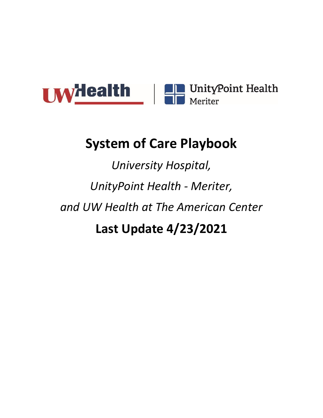<span id="page-0-0"></span>

# **System of Care Playbook**

*University Hospital, UnityPoint Health - Meriter, and UW Health at The American Center* **Last Update 4/23/2021**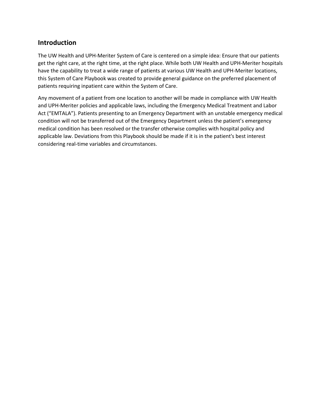#### **Introduction**

The UW Health and UPH-Meriter System of Care is centered on a simple idea: Ensure that our patients get the right care, at the right time, at the right place. While both UW Health and UPH-Meriter hospitals have the capability to treat a wide range of patients at various UW Health and UPH-Meriter locations, this System of Care Playbook was created to provide general guidance on the preferred placement of patients requiring inpatient care within the System of Care.

Any movement of a patient from one location to another will be made in compliance with UW Health and UPH-Meriter policies and applicable laws, including the Emergency Medical Treatment and Labor Act ("EMTALA"). Patients presenting to an Emergency Department with an unstable emergency medical condition will not be transferred out of the Emergency Department unless the patient's emergency medical condition has been resolved or the transfer otherwise complies with hospital policy and applicable law. Deviations from this Playbook should be made if it is in the patient's best interest considering real-time variables and circumstances.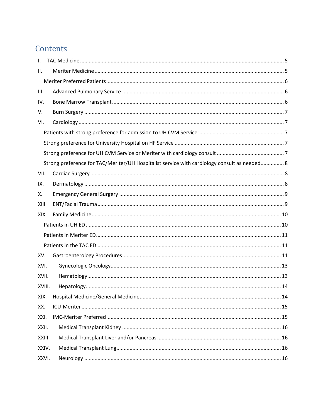# Contents

| Strong preference for TAC/Meriter/UH Hospitalist service with cardiology consult as needed 8 |  |  |
|----------------------------------------------------------------------------------------------|--|--|
|                                                                                              |  |  |
|                                                                                              |  |  |
|                                                                                              |  |  |
|                                                                                              |  |  |
|                                                                                              |  |  |
|                                                                                              |  |  |
|                                                                                              |  |  |
|                                                                                              |  |  |
|                                                                                              |  |  |
|                                                                                              |  |  |
|                                                                                              |  |  |
| XVIII.                                                                                       |  |  |
|                                                                                              |  |  |
|                                                                                              |  |  |
|                                                                                              |  |  |
|                                                                                              |  |  |
| XXIII.                                                                                       |  |  |
| XXIV.                                                                                        |  |  |
| XXVI.                                                                                        |  |  |
|                                                                                              |  |  |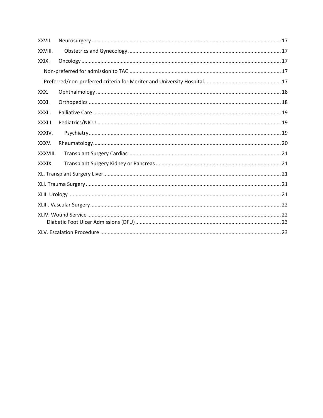| XXVII.   |  |  |  |
|----------|--|--|--|
| XXVIII.  |  |  |  |
| XXIX.    |  |  |  |
|          |  |  |  |
|          |  |  |  |
| XXX.     |  |  |  |
| XXXI.    |  |  |  |
| XXXII.   |  |  |  |
| XXXIII.  |  |  |  |
| XXXIV.   |  |  |  |
| XXXV.    |  |  |  |
| XXXVIII. |  |  |  |
| XXXIX.   |  |  |  |
|          |  |  |  |
|          |  |  |  |
|          |  |  |  |
|          |  |  |  |
|          |  |  |  |
|          |  |  |  |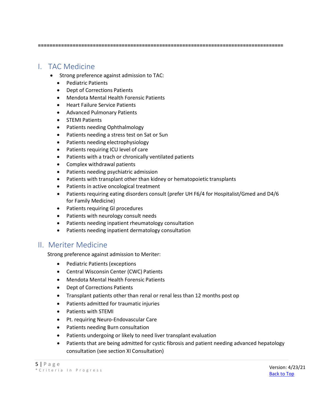**=====================================================================================**

## <span id="page-4-0"></span>I. TAC Medicine

- Strong preference against admission to TAC:
	- Pediatric Patients
	- Dept of Corrections Patients
	- Mendota Mental Health Forensic Patients
	- Heart Failure Service Patients
	- Advanced Pulmonary Patients
	- STEMI Patients
	- Patients needing Ophthalmology
	- Patients needing a stress test on Sat or Sun
	- Patients needing electrophysiology
	- Patients requiring ICU level of care
	- Patients with a trach or chronically ventilated patients
	- Complex withdrawal patients
	- Patients needing psychiatric admission
	- Patients with transplant other than kidney or hematopoietic transplants
	- Patients in active oncological treatment
	- Patients requiring eating disorders consult (prefer UH F6/4 for Hospitalist/Gmed and D4/6 for Family Medicine)
	- Patients requiring GI procedures
	- Patients with neurology consult needs
	- Patients needing inpatient rheumatology consultation
	- Patients needing inpatient dermatology consultation

## <span id="page-4-1"></span>II. Meriter Medicine

Strong preference against admission to Meriter:

- Pediatric Patients (exceptions
- Central Wisconsin Center (CWC) Patients
- Mendota Mental Health Forensic Patients
- Dept of Corrections Patients
- Transplant patients other than renal or renal less than 12 months post op
- Patients admitted for traumatic injuries
- Patients with STEMI
- Pt. requiring Neuro-Endovascular Care
- Patients needing Burn consultation
- Patients undergoing or likely to need liver transplant evaluation
- Patients that are being admitted for cystic fibrosis and patient needing advanced hepatology consultation (see section XI Consultation)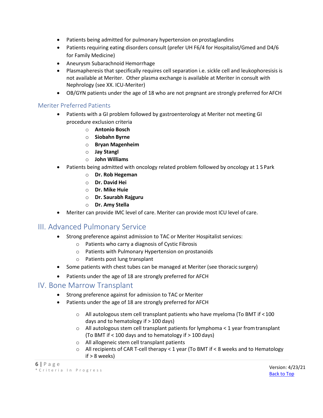- Patients being admitted for pulmonary hypertension on prostaglandins
- Patients requiring eating disorders consult (prefer UH F6/4 for Hospitalist/Gmed and D4/6 for Family Medicine)
- Aneurysm Subarachnoid Hemorrhage
- Plasmapheresis that specifically requires cell separation i.e. sickle cell and leukophoresisis is not available at Meriter. Other plasma exchange is available at Meriter in consult with Nephrology (see XX. ICU-Meriter)
- OB/GYN patients under the age of 18 who are not pregnant are strongly preferred forAFCH

#### <span id="page-5-0"></span>Meriter Preferred Patients

- Patients with a GI problem followed by gastroenterology at Meriter not meeting GI procedure exclusion criteria
	- o **Antonio Bosch**
	- o **Siobahn Byrne**
	- o **Bryan Magenheim**
	- o **Jay Stangl**
	- o **John Williams**
- Patients being admitted with oncology related problem followed by oncology at 1 S Park
	- o **Dr. Rob Hegeman**
	- o **Dr. David Hei**
	- o **Dr. Mike Huie**
	- o **Dr. Saurabh Rajguru**
	- o **Dr. Amy Stella**
- Meriter can provide IMC level of care. Meriter can provide most ICU level of care.

## <span id="page-5-1"></span>III. Advanced Pulmonary Service

- Strong preference against admission to TAC or Meriter Hospitalist services:
	- o Patients who carry a diagnosis of Cystic Fibrosis
	- o Patients with Pulmonary Hypertension on prostanoids
	- o Patients post lung transplant
- Some patients with chest tubes can be managed at Meriter (see thoracic surgery)
- Patients under the age of 18 are strongly preferred for AFCH

#### <span id="page-5-2"></span>IV. Bone Marrow Transplant

- Strong preference against for admission to TAC or Meriter
- Patients under the age of 18 are strongly preferred for AFCH
	- $\circ$  All autologous stem cell transplant patients who have myeloma (To BMT if <100 days and to hematology if > 100 days)
	- o All autologous stem cell transplant patients for lymphoma < 1 year fromtransplant (To BMT if < 100 days and to hematology if > 100 days)
	- o All allogeneic stem cell transplant patients
	- $\circ$  All recipients of CAR T-cell therapy < 1 year (To BMT if < 8 weeks and to Hematology if > 8 weeks)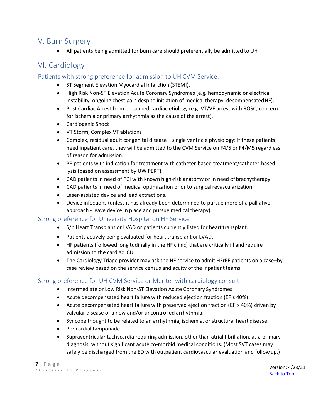## <span id="page-6-0"></span>V. Burn Surgery

• All patients being admitted for burn care should preferentially be admitted to UH

## <span id="page-6-1"></span>VI. Cardiology

#### <span id="page-6-2"></span>Patients with strong preference for admission to UH CVM Service:

- ST Segment Elevation Myocardial Infarction (STEMI).
- High Risk Non-ST Elevation Acute Coronary Syndromes (e.g. hemodynamic or electrical instability, ongoing chest pain despite initiation of medical therapy, decompensated HF).
- Post Cardiac Arrest from presumed cardiac etiology (e.g. VT/VF arrest with ROSC, concern for ischemia or primary arrhythmia as the cause of the arrest).
- Cardiogenic Shock
- VT Storm, Complex VT ablations
- Complex, residual adult congenital disease single ventricle physiology: If these patients need inpatient care, they will be admitted to the CVM Service on F4/5 or F4/M5 regardless of reason for admission.
- PE patients with indication for treatment with catheter-based treatment/catheter-based lysis (based on assessment by UW PERT).
- CAD patients in need of PCI with known high-risk anatomy or in need of brachytherapy.
- CAD patients in need of medical optimization prior to surgical revascularization.
- Laser-assisted device and lead extractions.
- Device infections (unless it has already been determined to pursue more of a palliative approach - leave device in place and pursue medical therapy).

#### <span id="page-6-3"></span>Strong preference for University Hospital on HF Service

- S/p Heart Transplant or LVAD or patients currently listed for heart transplant.
- Patients actively being evaluated for heart transplant or LVAD.
- HF patients (followed longitudinally in the HF clinic) that are critically ill and require admission to the cardiac ICU.
- The Cardiology Triage provider may ask the HF service to admit HFrEF patients on a case–bycase review based on the service census and acuity of the inpatient teams.

#### <span id="page-6-4"></span>Strong preference for UH CVM Service or Meriter with cardiology consult

- Intermediate or Low Risk Non-ST Elevation Acute Coronary Syndromes.
- Acute decompensated heart failure with reduced ejection fraction (EF ≤ 40%)
- Acute decompensated heart failure with preserved ejection fraction (EF > 40%) driven by valvular disease or a new and/or uncontrolled arrhythmia.
- Syncope thought to be related to an arrhythmia, ischemia, or structural heart disease.
- Pericardial tamponade.
- Supraventricular tachycardia requiring admission, other than atrial fibrillation, as a primary diagnosis, without significant acute co-morbid medical conditions. (Most SVT cases may safely be discharged from the ED with outpatient cardiovascular evaluation and followup.)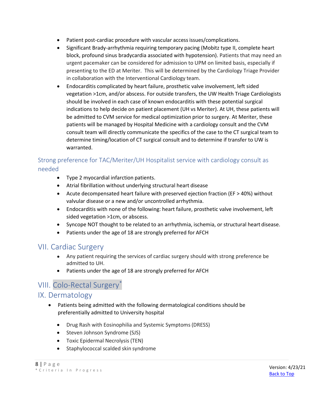- Patient post-cardiac procedure with vascular accessissues/complications.
- Significant Brady-arrhythmia requiring temporary pacing (Mobitz type II, complete heart block, profound sinus bradycardia associated with hypotension). Patients that may need an urgent pacemaker can be considered for admission to UPM on limited basis, especially if presenting to the ED at Meriter. This will be determined by the Cardiology Triage Provider in collaboration with the Interventional Cardiology team.
- Endocarditis complicated by heart failure, prosthetic valve involvement, left sided vegetation >1cm, and/or abscess. For outside transfers, the UW Health Triage Cardiologists should be involved in each case of known endocarditis with these potential surgical indications to help decide on patient placement (UH vs Meriter). At UH, these patients will be admitted to CVM service for medical optimization prior to surgery. At Meriter, these patients will be managed by Hospital Medicine with a cardiology consult and the CVM consult team will directly communicate the specifics of the case to the CT surgical team to determine timing/location of CT surgical consult and to determine if transfer to UW is warranted.

## <span id="page-7-0"></span>Strong preference for TAC/Meriter/UH Hospitalist service with cardiology consult as needed

- Type 2 myocardial infarction patients.
- Atrial fibrillation without underlying structural heart disease
- Acute decompensated heart failure with preserved ejection fraction (EF > 40%) without valvular disease or a new and/or uncontrolled arrhythmia.
- Endocarditis with none of the following: heart failure, prosthetic valve involvement, left sided vegetation >1cm, or abscess.
- Syncope NOT thought to be related to an arrhythmia, ischemia, or structural heart disease.
- Patients under the age of 18 are strongly preferred for AFCH

## <span id="page-7-1"></span>VII. Cardiac Surgery

- Any patient requiring the services of cardiac surgery should with strong preference be admitted to UH.
- Patients under the age of 18 are strongly preferred for AFCH

## VIII. Colo-Rectal Surgery\*

## <span id="page-7-2"></span>IX. Dermatology

- Patients being admitted with the following dermatological conditions should be preferentially admitted to University hospital
	- Drug Rash with Eosinophilia and Systemic Symptoms (DRESS)
	- Steven Johnson Syndrome (SJS)
	- Toxic Epidermal Necrolysis(TEN)
	- Staphylococcal scalded skin syndrome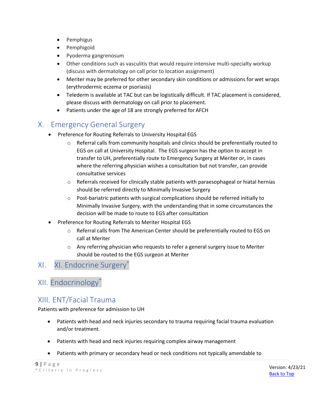- Pemphigus
- Pemphigoid
- Pyoderma gangrenosum
- Other conditions such as vasculitis that would require intensive multi-specialty workup (discuss with dermatology on call prior to location assignment)
- Meriter may be preferred for other secondary skin conditions or admissions for wet wraps (erythrodermic eczema or psoriasis)
- Telederm is available at TAC but can be logistically difficult. If TAC placement is considered, please discuss with dermatology on call prior to placement.
- Patients under the age of 18 are strongly preferred for AFCH

## <span id="page-8-0"></span>X. Emergency General Surgery

- Preference for Routing Referrals to University Hospital EGS
	- $\circ$  Referral calls from community hospitals and clinics should be preferentially routed to EGS on call at University Hospital. The EGS surgeon has the option to accept in transfer to UH, preferentially route to Emergency Surgery at Meriter or, in cases where the referring physician wishes a consultation but not transfer, can provide consultative services
	- $\circ$  Referrals received for clinically stable patients with paraesophageal or hiatal hernias should be referred directly to Minimally Invasive Surgery
	- $\circ$  Post-bariatric patients with surgical complications should be referred initially to Minimally Invasive Surgery, with the understanding that in some circumstances the decision will be made to route to EGS after consultation
- Preference for Routing Referrals to Meriter Hospital EGS
	- o Referral calls from The American Center should be preferentially routed to EGS on call at Meriter
	- o Any referring physician who requests to refer a general surgery issue to Meriter should be routed to the EGS surgeon at Meriter

## XI. XI. Endocrine Surgery\*

## XII. Endocrinology\*

## <span id="page-8-1"></span>XIII. ENT/Facial Trauma

Patients with preference for admission to UH

- Patients with head and neck injuries secondary to trauma requiring facial trauma evaluation and/or treatment.
- Patients with head and neck injuries requiring complex airway management
- Patients with primary or secondary head or neck conditions not typically amendable to

```
9 | P a g e
* C r i t e r i a I n P r o g r e s s
```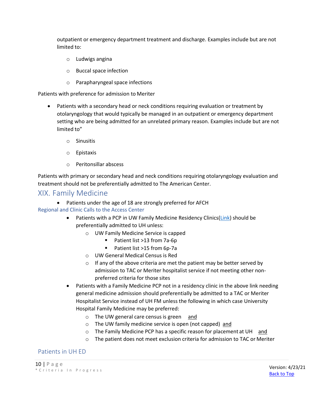outpatient or emergency department treatment and discharge. Examples include but are not limited to:

- o Ludwigs angina
- o Buccal space infection
- o Parapharyngeal space infections

Patients with preference for admission to Meriter

- Patients with a secondary head or neck conditions requiring evaluation or treatment by otolaryngology that would typically be managed in an outpatient or emergency department setting who are being admitted for an unrelated primary reason. Examples include but are not limited to"
	- o Sinusitis
	- o Epistaxis
	- o Peritonsillar abscess

Patients with primary or secondary head and neck conditions requiring otolaryngology evaluation and treatment should not be preferentially admitted to The American Center.

#### <span id="page-9-0"></span>XIX. Family Medicine

• Patients under the age of 18 are strongly preferred for AFCH Regional and Clinic Calls to the Access Center

- Patients with a PCP in UW Family Medicine Residency Clinics[\(Link\)](https://uconnect.wisc.edu/clinical/tools-resources/admitting-providers/resources/name-48649-en.file) should be preferentially admitted to UH unless:
	- o UW Family Medicine Service is capped
		- Patient list >13 from 7a-6p
		- Patient list >15 from 6p-7a
	- o UW General Medical Census is Red
	- o If any of the above criteria are met the patient may be better served by admission to TAC or Meriter hospitalist service if not meeting other nonpreferred criteria for those sites
- Patients with a Family Medicine PCP not in a residency clinic in the above link needing general medicine admission should preferentially be admitted to a TAC or Meriter Hospitalist Service instead of UH FM unless the following in which case University Hospital Family Medicine may be preferred:
	- o The UW general care census is green and
	- o The UW family medicine service is open (not capped) and
	- o The Family Medicine PCP has a specific reason for placement at UH and
	- o The patient does not meet exclusion criteria for admission to TAC or Meriter

#### <span id="page-9-1"></span>Patients in UH ED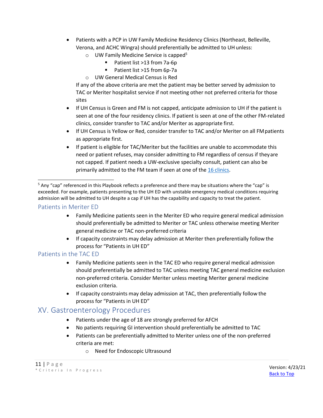- Patients with a PCP in UW Family Medicine Residency Clinics (Northeast, Belleville, Verona, and ACHC Wingra) should preferentially be admitted to UH unless:
	- $\circ$  UW Family Medicine Service is capped<sup>5</sup>
		- Patient list >13 from 7a-6p
		- Patient list >15 from 6p-7a
	- o UW General Medical Census is Red

If any of the above criteria are met the patient may be better served by admission to TAC or Meriter hospitalist service if not meeting other not preferred criteria for those sites

- If UH Census is Green and FM is not capped, anticipate admission to UH if the patient is seen at one of the four residency clinics. If patient is seen at one of the other FM-related clinics, consider transfer to TAC and/or Meriter as appropriate first.
- If UH Census is Yellow or Red, consider transfer to TAC and/or Meriter on all FMpatients as appropriate first.
- If patient is eligible for TAC/Meriter but the facilities are unable to accommodate this need or patient refuses, may consider admitting to FM regardless of census if theyare not capped. If patient needs a UW-exclusive specialty consult, patient can also be primarily admitted to the FM team if seen at one of the 16 [clinics.](https://uconnect.wisc.edu/clinical/tools-resources/admitting-providers/resources/name-48649-en.file)

#### <span id="page-10-0"></span>Patients in Meriter ED

- Family Medicine patients seen in the Meriter ED who require general medical admission should preferentially be admitted to Meriter or TAC unless otherwise meeting Meriter general medicine or TAC non-preferred criteria
- If capacity constraints may delay admission at Meriter then preferentially follow the process for "Patients in UH ED"

#### <span id="page-10-1"></span>Patients in the TAC ED

- Family Medicine patients seen in the TAC ED who require general medical admission should preferentially be admitted to TAC unless meeting TAC general medicine exclusion non-preferred criteria. Consider Meriter unless meeting Meriter general medicine exclusion criteria.
- If capacity constraints may delay admission at TAC, then preferentially follow the process for "Patients in UH ED"

## <span id="page-10-2"></span>XV. Gastroenterology Procedures

- Patients under the age of 18 are strongly preferred for AFCH
- No patients requiring GI intervention should preferentially be admitted to TAC
- Patients can be preferentially admitted to Meriter unless one of the non-preferred criteria are met:
	- o Need for Endoscopic Ultrasound

<sup>5</sup> Any "cap" referenced in this Playbook reflects a preference and there may be situations where the "cap" is exceeded. For example, patients presenting to the UH ED with unstable emergency medical conditions requiring admission will be admitted to UH despite a cap if UH has the capability and capacity to treat the patient.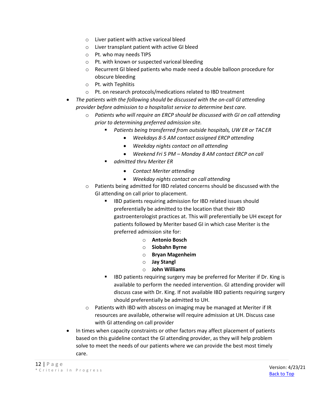- o Liver patient with active variceal bleed
- o Liver transplant patient with active GI bleed
- o Pt. who may needs TIPS
- o Pt. with known or suspected variceal bleeding
- o Recurrent GI bleed patients who made need a double balloon procedure for obscure bleeding
- o Pt. with Tephlitis
- o Pt. on research protocols/medications related to IBD treatment
- *The patients with the following should be discussed with the on-call GI attending provider before admission to a hospitalist service to determine best care.*
	- o *Patients who will require an ERCP should be discussed with GI on call attending prior to determining preferred admission site.*
		- *Patients being transferred from outside hospitals, UW ER or TACER*
			- *Weekdays 8-5 AM contact assigned ERCP attending*
				- *Weekday nights contact on all attending*
				- *Weekend Fri 5 PM – Monday 8 AM contact ERCP on call*
		- *admitted thru Meriter ER*
			- *Contact Meriter attending*
			- *Weekday nights contact on call attending*
	- o Patients being admitted for IBD related concerns should be discussed with the GI attending on call prior to placement.
		- IBD patients requiring admission for IBD related issues should preferentially be admitted to the location that their IBD gastroenterologist practices at. This will preferentially be UH except for patients followed by Meriter based GI in which case Meriter is the preferred admission site for:
			- o **Antonio Bosch**
			- o **Siobahn Byrne**
			- o **Bryan Magenheim**
			- o **Jay Stangl**
			- o **John Williams**
		- IBD patients requiring surgery may be preferred for Meriter if Dr. King is available to perform the needed intervention. GI attending provider will discuss case with Dr. King. If not available IBD patients requiring surgery should preferentially be admitted to UH.
	- o Patients with IBD with abscess on imaging may be managed at Meriter if IR resources are available, otherwise will require admission at UH. Discuss case with GI attending on call provider
- In times when capacity constraints or other factors may affect placement of patients based on this guideline contact the GI attending provider, as they will help problem solve to meet the needs of our patients where we can provide the best most timely care.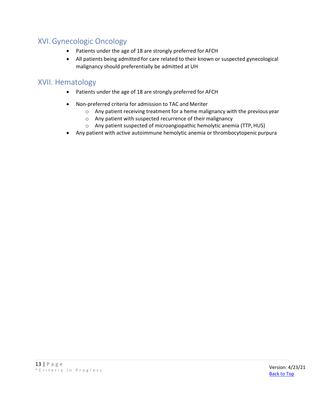## <span id="page-12-0"></span>XVI.Gynecologic Oncology

- Patients under the age of 18 are strongly preferred for AFCH
- All patients being admitted for care related to their known or suspected gynecological malignancy should preferentially be admitted at UH

## <span id="page-12-1"></span>XVII. Hematology

- Patients under the age of 18 are strongly preferred for AFCH
- Non-preferred criteria for admission to TAC and Meriter
	- o Any patient receiving treatment for a heme malignancy with the previous year
	- o Any patient with suspected recurrence of their malignancy
	- o Any patient suspected of microangiopathic hemolytic anemia (TTP,HUS)
- Any patient with active autoimmune hemolytic anemia or thrombocytopenic purpura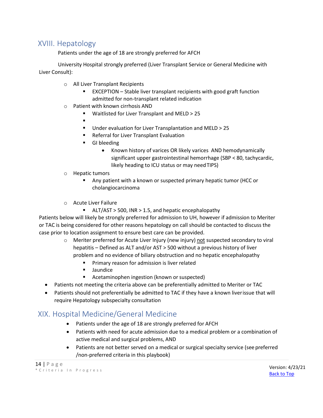## <span id="page-13-0"></span>XVIII. Hepatology

Patients under the age of 18 are strongly preferred for AFCH

University Hospital strongly preferred (Liver Transplant Service or General Medicine with Liver Consult):

- o All Liver Transplant Recipients
	- EXCEPTION Stable liver transplant recipients with good graft function admitted for non-transplant related indication
- o Patient with known cirrhosis AND
	- Waitlisted for Liver Transplant and MELD > 25
	- ▪
	- Under evaluation for Liver Transplantation and MELD > 25
	- Referral for Liver Transplant Evaluation
	- GI bleeding
		- Known history of varices OR likely varices AND hemodynamically significant upper gastrointestinal hemorrhage (SBP < 80, tachycardic, likely heading to ICU status or may needTIPS)
- o Hepatic tumors
	- Any patient with a known or suspected primary hepatic tumor (HCC or cholangiocarcinoma
- o Acute Liver Failure
	- ALT/AST > 500, INR > 1.5, and hepatic encephalopathy

Patients below will likely be strongly preferred for admission to UH, however if admission to Meriter or TAC is being considered for other reasons hepatology on call should be contacted to discuss the case prior to location assignment to ensure best care can be provided.

- $\circ$  Meriter preferred for Acute Liver Injury (new injury) not suspected secondary to viral hepatitis – Defined as ALT and/or AST > 500 without a previous history of liver problem and no evidence of biliary obstruction and no hepatic encephalopathy
	- Primary reason for admission is liver related
	- Jaundice
	- Acetaminophen ingestion (known or suspected)
- Patients not meeting the criteria above can be preferentially admitted to Meriter or TAC
- Patients should not preferentially be admitted to TAC if they have a known liverissue that will require Hepatology subspecialty consultation

## <span id="page-13-1"></span>XIX. Hospital Medicine/General Medicine

- Patients under the age of 18 are strongly preferred for AFCH
- Patients with need for acute admission due to a medical problem or a combination of active medical and surgical problems, AND
- Patients are not better served on a medical or surgical specialty service (see preferred /non-preferred criteria in this playbook)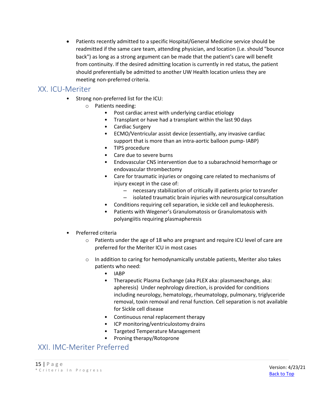• Patients recently admitted to a specific Hospital/General Medicine service should be readmitted if the same care team, attending physician, and location (i.e. should "bounce back") as long as a strong argument can be made that the patient's care will benefit from continuity. If the desired admitting location is currently in red status, the patient should preferentially be admitted to another UW Health location unless they are meeting non-preferred criteria.

## <span id="page-14-0"></span>XX. ICU-Meriter

- Strong non-preferred list for the ICU:
	- o Patients needing:
		- Post cardiac arrest with underlying cardiac etiology
		- Transplant or have had a transplant within the last 90 days
		- Cardiac Surgery
		- ECMO/Ventricular assist device (essentially, any invasive cardiac support that is more than an intra-aortic balloon pump- IABP)
		- TIPS procedure
		- Care due to severe burns
		- Endovascular CNS intervention due to a subarachnoid hemorrhage or endovascular thrombectomy
		- Care for traumatic injuries or ongoing care related to mechanisms of injury except in the case of:
			- necessary stabilization of critically ill patients prior to transfer
			- isolated traumatic brain injuries with neurosurgical consultation
		- Conditions requiring cell separation, ie sickle cell and leukopheresis.
		- Patients with Wegener's Granulomatosis or Granulomatosis with polyangiitis requiring plasmapheresis
- Preferred criteria
	- o Patients under the age of 18 who are pregnant and require ICU level of care are preferred for the Meriter ICU in most cases
	- $\circ$  In addition to caring for hemodynamically unstable patients, Meriter also takes patients who need:
		- IABP
		- Therapeutic Plasma Exchange (aka PLEX aka: plasmaexchange, aka: apheresis) Under nephrology direction, is provided for conditions including neurology, hematology, rheumatology, pulmonary, triglyceride removal, toxin removal and renal function. Cell separation is not available for Sickle cell disease
		- Continuous renal replacement therapy
		- ICP monitoring/ventriculostomy drains
		- Targeted Temperature Management
		- Proning therapy/Rotoprone

## <span id="page-14-1"></span>XXI. IMC-Meriter Preferred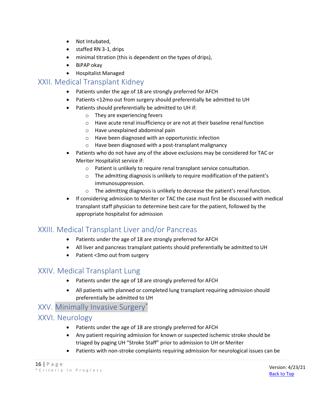- Not Intubated,
- staffed RN 3-1, drips
- minimal titration (this is dependent on the types of drips),
- BiPAP okay
- Hospitalist Managed

#### <span id="page-15-0"></span>XXII. Medical Transplant Kidney

- Patients under the age of 18 are strongly preferred for AFCH
- Patients <12mo out from surgery should preferentially be admitted to UH
- Patients should preferentially be admitted to UH if:
	- o They are experiencing fevers
	- o Have acute renal insufficiency or are not at their baseline renal function
	- o Have unexplained abdominal pain
	- o Have been diagnosed with an opportunistic infection
	- o Have been diagnosed with a post-transplant malignancy
- Patients who do not have any of the above exclusions may be considered for TAC or Meriter Hospitalist service if:
	- o Patient is unlikely to require renal transplant service consultation.
	- o The admitting diagnosis is unlikely to require modification of the patient's immunosuppression.
	- o The admitting diagnosis is unlikely to decrease the patient's renal function.
- If considering admission to Meriter or TAC the case must first be discussed with medical transplant staff physician to determine best care for the patient, followed by the appropriate hospitalist for admission

## <span id="page-15-1"></span>XXIII. Medical Transplant Liver and/or Pancreas

- Patients under the age of 18 are strongly preferred for AFCH
- All liver and pancreas transplant patients should preferentially be admitted to UH
- Patient <3mo out from surgery

## <span id="page-15-2"></span>XXIV. Medical Transplant Lung

- Patients under the age of 18 are strongly preferred for AFCH
- All patients with planned or completed lung transplant requiring admission should preferentially be admitted to UH

## XXV. Minimally Invasive Surgery\*

#### <span id="page-15-3"></span>XXVI. Neurology

- Patients under the age of 18 are strongly preferred for AFCH
- Any patient requiring admission for known or suspected ischemic stroke should be triaged by paging UH "Stroke Staff" prior to admission to UH or Meriter
- Patients with non-stroke complaints requiring admission for neurological issues can be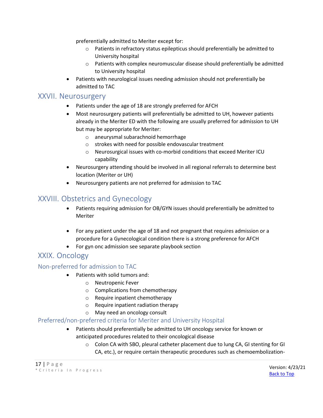preferentially admitted to Meriter except for:

- o Patients in refractory status epilepticus should preferentially be admitted to University hospital
- o Patients with complex neuromuscular disease should preferentially be admitted to University hospital
- Patients with neurological issues needing admission should not preferentially be admitted to TAC

#### <span id="page-16-0"></span>XXVII. Neurosurgery

- Patients under the age of 18 are strongly preferred for AFCH
- Most neurosurgery patients will preferentially be admitted to UH, however patients already in the Meriter ED with the following are usually preferred for admission to UH but may be appropriate for Meriter:
	- o aneurysmal subarachnoid hemorrhage
	- o strokes with need for possible endovascular treatment
	- o Neurosurgical issues with co-morbid conditions that exceed Meriter ICU capability
- Neurosurgery attending should be involved in all regional referrals to determine best location (Meriter or UH)
- Neurosurgery patients are not preferred for admission to TAC

## <span id="page-16-1"></span>XXVIII. Obstetrics and Gynecology

- Patients requiring admission for OB/GYN issues should preferentially be admitted to Meriter
- For any patient under the age of 18 and not pregnant that requires admission or a procedure for a Gynecological condition there is a strong preference for AFCH
- For gyn onc admission see separate playbook section

## <span id="page-16-2"></span>XXIX. Oncology

#### <span id="page-16-3"></span>Non-preferred for admission to TAC

- Patients with solid tumors and:
	- o Neutropenic Fever
	- o Complications from chemotherapy
	- o Require inpatient chemotherapy
	- o Require inpatient radiation therapy
	- o May need an oncology consult

#### <span id="page-16-4"></span>Preferred/non-preferred criteria for Meriter and University Hospital

- Patients should preferentially be admitted to UH oncology service for known or anticipated procedures related to their oncological disease
	- o Colon CA with SBO, pleural catheter placement due to lung CA, GI stenting for GI CA, etc.), or require certain therapeutic procedures such as chemoembolization-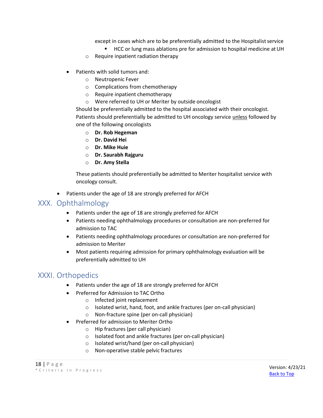except in cases which are to be preferentially admitted to the Hospitalist service

- HCC or lung mass ablations pre for admission to hospital medicine at UH
- o Require inpatient radiation therapy
- Patients with solid tumors and:
	- o Neutropenic Fever
	- o Complications from chemotherapy
	- o Require inpatient chemotherapy
	- o Were referred to UH or Meriter by outside oncologist

Should be preferentially admitted to the hospital associated with their oncologist. Patients should preferentially be admitted to UH oncology service unless followed by one of the following oncologists

- o **Dr. Rob Hegeman**
- o **Dr. David Hei**
- o **Dr. Mike Huie**
- o **Dr. Saurabh Rajguru**
- o **Dr. Amy Stella**

These patients should preferentially be admitted to Meriter hospitalist service with oncology consult.

• Patients under the age of 18 are strongly preferred for AFCH

#### <span id="page-17-0"></span>XXX. Ophthalmology

- Patients under the age of 18 are strongly preferred for AFCH
- Patients needing ophthalmology procedures or consultation are non-preferred for admission to TAC
- Patients needing ophthalmology procedures or consultation are non-preferred for admission to Meriter
- Most patients requiring admission for primary ophthalmology evaluation will be preferentially admitted to UH

## <span id="page-17-1"></span>XXXI. Orthopedics

- Patients under the age of 18 are strongly preferred for AFCH
- Preferred for Admission to TAC Ortho
	- o Infected joint replacement
	- o Isolated wrist, hand, foot, and ankle fractures (per on-call physician)
	- o Non-fracture spine (per on-call physician)
- Preferred for admission to Meriter Ortho
	- o Hip fractures (per call physician)
	- o Isolated foot and ankle fractures (per on-call physician)
	- o Isolated wrist/hand (per on-call physician)
	- o Non-operative stable pelvic fractures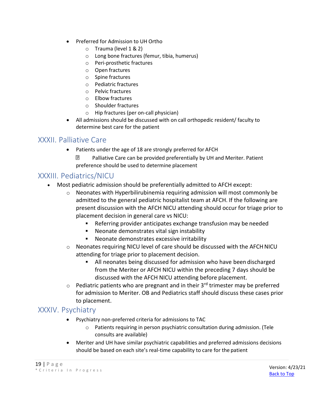- Preferred for Admission to UH Ortho
	- o Trauma (level 1 & 2)
	- o Long bone fractures (femur, tibia, humerus)
	- o Peri-prosthetic fractures
	- o Open fractures
	- o Spine fractures
	- o Pediatric fractures
	- o Pelvic fractures
	- o Elbow fractures
	- o Shoulder fractures
	- o Hip fractures (per on-call physician)
- All admissions should be discussed with on call orthopedic resident/ faculty to determine best care for the patient

## <span id="page-18-0"></span>XXXII. Palliative Care

- Patients under the age of 18 are strongly preferred for AFCH
	- 7 Palliative Care can be provided preferentially by UH and Meriter. Patient preference should be used to determine placement

## <span id="page-18-1"></span>XXXIII. Pediatrics/NICU

- Most pediatric admission should be preferentially admitted to AFCH except:
	- $\circ$  Neonates with Hyperbilirubinemia requiring admission will most commonly be admitted to the general pediatric hospitalist team at AFCH. If the following are present discussion with the AFCH NICU attending should occur for triage prior to placement decision in general care vs NICU:
		- Referring provider anticipates exchange transfusion may be needed
		- Neonate demonstrates vital sign instability
		- Neonate demonstrates excessive irritability
	- o Neonates requiring NICU level of care should be discussed with the AFCHNICU attending for triage prior to placement decision.
		- All neonates being discussed for admission who have been discharged from the Meriter or AFCH NICU within the preceding 7 days should be discussed with the AFCH NICU attending before placement.
	- $\circ$  Pediatric patients who are pregnant and in their 3<sup>rd</sup> trimester may be preferred for admission to Meriter. OB and Pediatrics staff should discuss these cases prior to placement.

#### <span id="page-18-2"></span>XXXIV. Psychiatry

- Psychiatry non-preferred criteria for admissions to TAC
	- o Patients requiring in person psychiatric consultation during admission. (Tele consults are available)
- Meriter and UH have similar psychiatric capabilities and preferred admissions decisions should be based on each site's real-time capability to care for the patient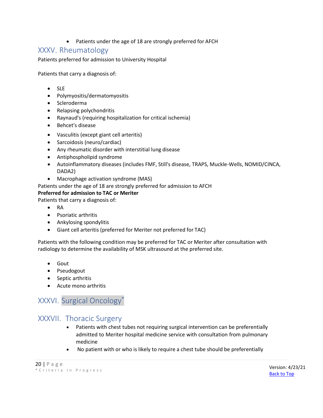• Patients under the age of 18 are strongly preferred for AFCH

#### <span id="page-19-0"></span>XXXV. Rheumatology

Patients preferred for admission to University Hospital

Patients that carry a diagnosis of:

- SLE
- Polymyositis/dermatomyositis
- Scleroderma
- Relapsing polychondritis
- Raynaud's (requiring hospitalization for critical ischemia)
- Behcet's disease
- Vasculitis (except giant cell arteritis)
- Sarcoidosis (neuro/cardiac)
- Any rheumatic disorder with interstitial lung disease
- Antiphospholipid syndrome
- Autoinflammatory diseases (includes FMF, Still's disease, TRAPS, Muckle-Wells, NOMID/CINCA, DADA2)
- Macrophage activation syndrome (MAS)

Patients under the age of 18 are strongly preferred for admission to AFCH

#### **Preferred for admission to TAC or Meriter**

Patients that carry a diagnosis of:

- RA
- Psoriatic arthritis
- Ankylosing spondylitis
- Giant cell arteritis (preferred for Meriter not preferred for TAC)

Patients with the following condition may be preferred for TAC or Meriter after consultation with radiology to determine the availability of MSK ultrasound at the preferred site.

- Gout
- Pseudogout
- Septic arthritis
- Acute mono arthritis

## XXXVI. Surgical Oncology\*

## XXXVII. Thoracic Surgery

- Patients with chest tubes not requiring surgical intervention can be preferentially admitted to Meriter hospital medicine service with consultation from pulmonary medicine
- No patient with or who is likely to require a chest tube should be preferentially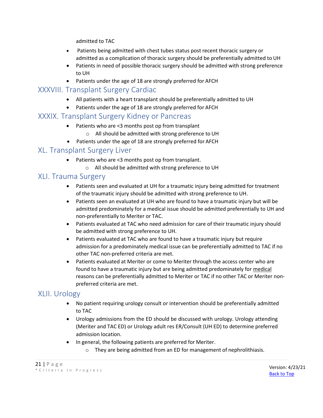admitted to TAC

- Patients being admitted with chest tubes status post recent thoracic surgery or admitted as a complication of thoracic surgery should be preferentially admitted to UH
- Patients in need of possible thoracic surgery should be admitted with strong preference to UH
- Patients under the age of 18 are strongly preferred for AFCH

#### <span id="page-20-0"></span>XXXVIII. Transplant Surgery Cardiac

- All patients with a heart transplant should be preferentially admitted to UH
- Patients under the age of 18 are strongly preferred for AFCH

#### <span id="page-20-1"></span>XXXIX. Transplant Surgery Kidney or Pancreas

- Patients who are <3 months post op from transplant
	- o All should be admitted with strong preference to UH
- Patients under the age of 18 are strongly preferred for AFCH

## <span id="page-20-2"></span>XL. Transplant Surgery Liver

- Patients who are <3 months post op from transplant.
	- o All should be admitted with strong preference to UH

#### <span id="page-20-3"></span>XLI. Trauma Surgery

- Patients seen and evaluated at UH for a traumatic injury being admitted for treatment of the traumatic injury should be admitted with strong preference to UH.
- Patients seen an evaluated at UH who are found to have a traumatic injury but will be admitted predominately for a medical issue should be admitted preferentially to UH and non-preferentially to Meriter or TAC.
- Patients evaluated at TAC who need admission for care of their traumatic injury should be admitted with strong preference to UH.
- Patients evaluated at TAC who are found to have a traumatic injury but require admission for a predominately medical issue can be preferentially admitted to TAC if no other TAC non-preferred criteria are met.
- Patients evaluated at Meriter or come to Meriter through the access center who are found to have a traumatic injury but are being admitted predominately for medical reasons can be preferentially admitted to Meriter or TAC if no other TAC or Meriter nonpreferred criteria are met.

## <span id="page-20-4"></span>XLII. Urology

- No patient requiring urology consult or intervention should be preferentially admitted to TAC
- Urology admissions from the ED should be discussed with urology. Urology attending (Meriter and TAC ED) or Urology adult res ER/Consult (UH ED) to determine preferred admission location.
- In general, the following patients are preferred for Meriter.
	- o They are being admitted from an ED for management of nephrolithiasis.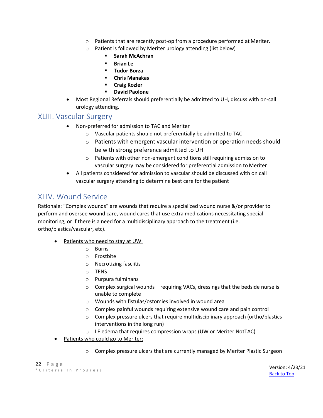- o Patients that are recently post-op from a procedure performed at Meriter.
- o Patient is followed by Meriter urology attending (list below)
	- **Sarah McAchran**
	- **Brian Le**
	- **Tudor Borza**
	- **Chris Manakas**
	- **Craig Kozler**
	- **David Paolone**
- Most Regional Referrals should preferentially be admitted to UH, discuss with on-call urology attending.

#### <span id="page-21-0"></span>XLIII. Vascular Surgery

- Non-preferred for admission to TAC and Meriter
	- o Vascular patients should not preferentially be admitted to TAC
	- o Patients with emergent vascular intervention or operation needs should be with strong preference admitted to UH
	- o Patients with other non-emergent conditions still requiring admission to vascular surgery may be considered for preferential admission to Meriter
- All patients considered for admission to vascular should be discussed with on call vascular surgery attending to determine best care for the patient

## <span id="page-21-1"></span>XLIV. Wound Service

Rationale: "Complex wounds" are wounds that require a specialized wound nurse &/or provider to perform and oversee wound care, wound cares that use extra medications necessitating special monitoring, or if there is a need for a multidisciplinary approach to the treatment (i.e. ortho/plastics/vascular, etc).

- Patients who need to stay at UW:
	- o Burns
	- o Frostbite
	- o Necrotizing fasciitis
	- o TENS
	- o Purpura fulminans
	- o Complex surgical wounds requiring VACs, dressings that the bedside nurse is unable to complete
	- o Wounds with fistulas/ostomies involved in wound area
	- $\circ$  Complex painful wounds requiring extensive wound care and pain control
	- $\circ$  Complex pressure ulcers that require multidisciplinary approach (ortho/plastics interventions in the long run)
	- o LE edema that requires compression wraps (UW or Meriter NotTAC)
- Patients who could go to Meriter:
	- o Complex pressure ulcers that are currently managed by Meriter Plastic Surgeon